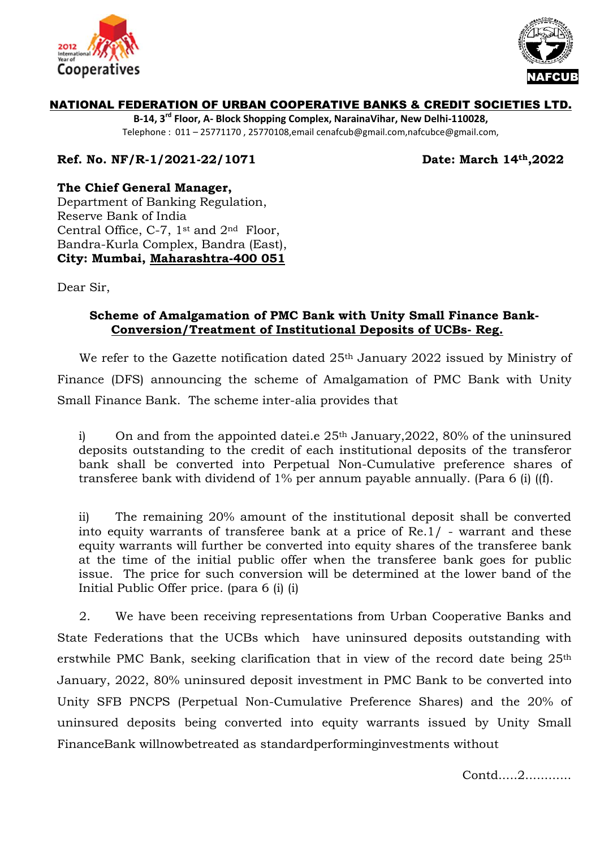



## NATIONAL FEDERATION OF URBAN COOPERATIVE BANKS & CREDIT SOCIETIES LTD.

**B-14, 3rd Floor, A- Block Shopping Complex, NarainaVihar, New Delhi-110028,** Telephone : 011 – 25771170 , 25770108,email cenafcub@gmail.com,nafcubce@gmail.com,

**Ref. No. NF/R-1/2021-22/1071 Date: March 14th,2022**

**The Chief General Manager,**

[Department of Banking Regulation,](https://www.rbi.org.in/scripts/AboutUsDisplay.aspx?pg=Depts.htm#DCBR1) Reserve Bank of India Central Office, C-7, 1st and 2nd Floor, Bandra-Kurla Complex, Bandra (East), **City: Mumbai, Maharashtra-400 051**

Dear Sir,

## **Scheme of Amalgamation of PMC Bank with Unity Small Finance Bank-Conversion/Treatment of Institutional Deposits of UCBs- Reg.**

We refer to the Gazette notification dated 25<sup>th</sup> January 2022 issued by Ministry of Finance (DFS) announcing the scheme of Amalgamation of PMC Bank with Unity Small Finance Bank. The scheme inter-alia provides that

i) On and from the appointed date i.e  $25<sup>th</sup>$  January, 2022, 80% of the uninsured deposits outstanding to the credit of each institutional deposits of the transferor bank shall be converted into Perpetual Non-Cumulative preference shares of transferee bank with dividend of 1% per annum payable annually. (Para 6 (i) ((f).

ii) The remaining 20% amount of the institutional deposit shall be converted into equity warrants of transferee bank at a price of Re.1/ - warrant and these equity warrants will further be converted into equity shares of the transferee bank at the time of the initial public offer when the transferee bank goes for public issue. The price for such conversion will be determined at the lower band of the Initial Public Offer price. (para 6 (i) (i)

2. We have been receiving representations from Urban Cooperative Banks and State Federations that the UCBs which have uninsured deposits outstanding with erstwhile PMC Bank, seeking clarification that in view of the record date being 25<sup>th</sup> January, 2022, 80% uninsured deposit investment in PMC Bank to be converted into Unity SFB PNCPS (Perpetual Non-Cumulative Preference Shares) and the 20% of uninsured deposits being converted into equity warrants issued by Unity Small FinanceBank willnowbetreated as standardperforminginvestments without

Contd.....2............